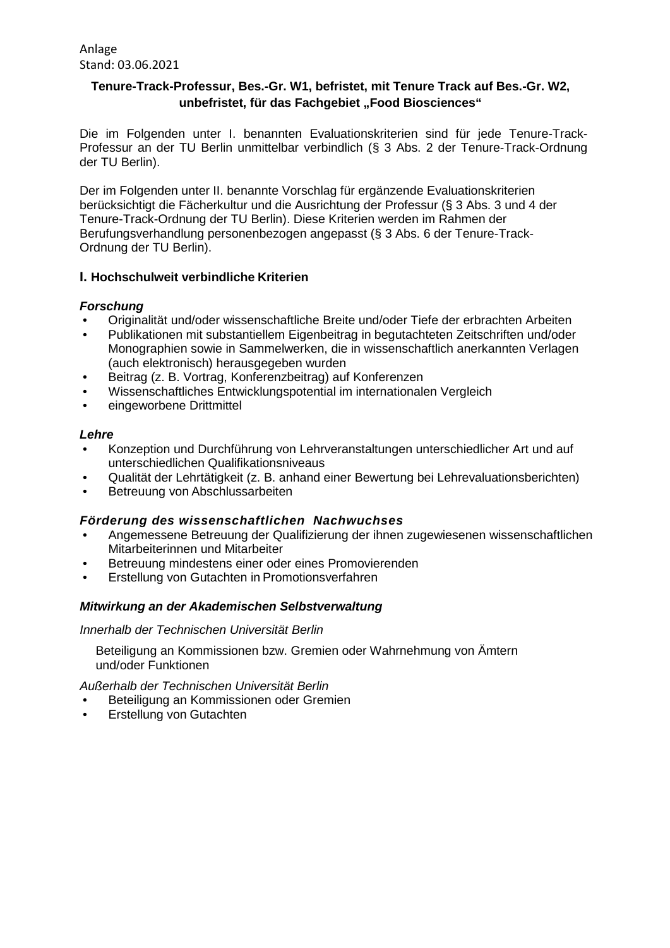Anlage Stand: 03.06.2021

# **Tenure-Track-Professur, Bes.-Gr. W1, befristet, mit Tenure Track auf Bes.-Gr. W2, unbefristet, für das Fachgebiet "Food Biosciences"**

Die im Folgenden unter I. benannten Evaluationskriterien sind für jede Tenure-Track-Professur an der TU Berlin unmittelbar verbindlich (§ 3 Abs. 2 der Tenure-Track-Ordnung der TU Berlin).

Der im Folgenden unter II. benannte Vorschlag für ergänzende Evaluationskriterien berücksichtigt die Fächerkultur und die Ausrichtung der Professur (§ 3 Abs. 3 und 4 der Tenure-Track-Ordnung der TU Berlin). Diese Kriterien werden im Rahmen der Berufungsverhandlung personenbezogen angepasst (§ 3 Abs. 6 der Tenure-Track-Ordnung der TU Berlin).

## **I. Hochschulweit verbindliche Kriterien**

## *Forschung*

- Originalität und/oder wissenschaftliche Breite und/oder Tiefe der erbrachten Arbeiten
- Publikationen mit substantiellem Eigenbeitrag in begutachteten Zeitschriften und/oder Monographien sowie in Sammelwerken, die in wissenschaftlich anerkannten Verlagen (auch elektronisch) herausgegeben wurden
- Beitrag (z. B. Vortrag, Konferenzbeitrag) auf Konferenzen
- Wissenschaftliches Entwicklungspotential im internationalen Vergleich<br>• eingeworbene Drittmittel
- eingeworbene Drittmittel

## *Lehre*

- Konzeption und Durchführung von Lehrveranstaltungen unterschiedlicher Art und auf unterschiedlichen Qualifikationsniveaus
- Qualität der Lehrtätigkeit (z. B. anhand einer Bewertung bei Lehrevaluationsberichten)
- Betreuung von Abschlussarbeiten

## *Förderung des wissenschaftlichen Nachwuchses*

- Angemessene Betreuung der Qualifizierung der ihnen zugewiesenen wissenschaftlichen Mitarbeiterinnen und Mitarbeiter
- Betreuung mindestens einer oder eines Promovierenden
- Erstellung von Gutachten in Promotionsverfahren

## *Mitwirkung an der Akademischen Selbstverwaltung*

## *Innerhalb der Technischen Universität Berlin*

Beteiligung an Kommissionen bzw. Gremien oder Wahrnehmung von Ämtern und/oder Funktionen

*Außerhalb der Technischen Universität Berlin*

- Beteiligung an Kommissionen oder Gremien
- Erstellung von Gutachten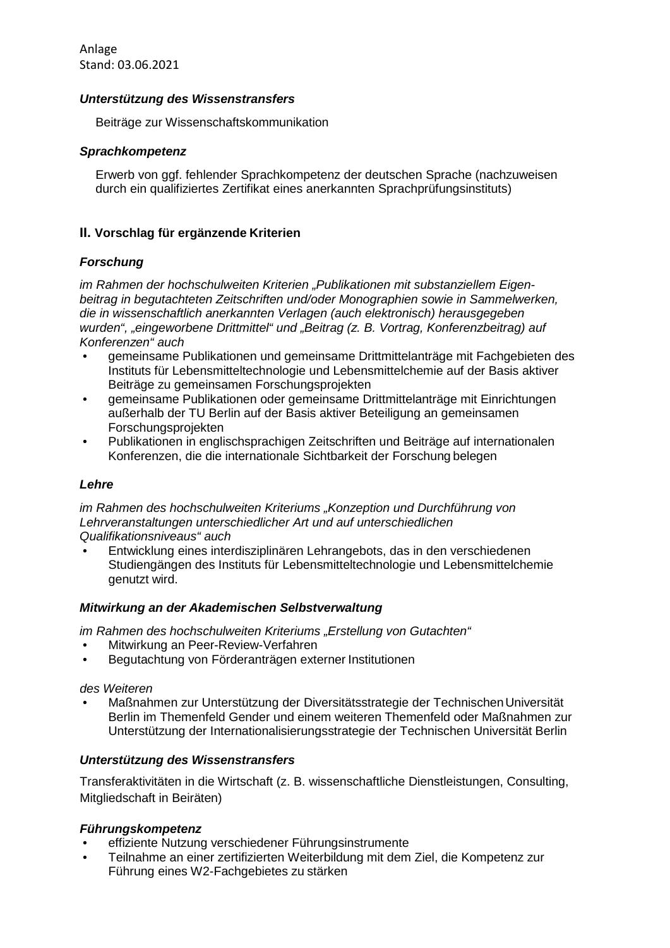Anlage Stand: 03.06.2021

#### *Unterstützung des Wissenstransfers*

Beiträge zur Wissenschaftskommunikation

## *Sprachkompetenz*

Erwerb von ggf. fehlender Sprachkompetenz der deutschen Sprache (nachzuweisen durch ein qualifiziertes Zertifikat eines anerkannten Sprachprüfungsinstituts)

## **II. Vorschlag für ergänzende Kriterien**

## *Forschung*

*im Rahmen der hochschulweiten Kriterien "Publikationen mit substanziellem Eigenbeitrag in begutachteten Zeitschriften und/oder Monographien sowie in Sammelwerken, die in wissenschaftlich anerkannten Verlagen (auch elektronisch) herausgegeben wurden", "eingeworbene Drittmittel" und "Beitrag (z. B. Vortrag, Konferenzbeitrag) auf Konferenzen" auch*

- gemeinsame Publikationen und gemeinsame Drittmittelanträge mit Fachgebieten des Instituts für Lebensmitteltechnologie und Lebensmittelchemie auf der Basis aktiver Beiträge zu gemeinsamen Forschungsprojekten
- gemeinsame Publikationen oder gemeinsame Drittmittelanträge mit Einrichtungen außerhalb der TU Berlin auf der Basis aktiver Beteiligung an gemeinsamen Forschungsprojekten
- Publikationen in englischsprachigen Zeitschriften und Beiträge auf internationalen Konferenzen, die die internationale Sichtbarkeit der Forschung belegen

## *Lehre*

*im Rahmen des hochschulweiten Kriteriums "Konzeption und Durchführung von Lehrveranstaltungen unterschiedlicher Art und auf unterschiedlichen Qualifikationsniveaus" auch*

• Entwicklung eines interdisziplinären Lehrangebots, das in den verschiedenen Studiengängen des Instituts für Lebensmitteltechnologie und Lebensmittelchemie genutzt wird.

## *Mitwirkung an der Akademischen Selbstverwaltung*

*im Rahmen des hochschulweiten Kriteriums "Erstellung von Gutachten"*

- Mitwirkung an Peer-Review-Verfahren
- Begutachtung von Förderanträgen externer Institutionen

## *des Weiteren*

• Maßnahmen zur Unterstützung der Diversitätsstrategie der TechnischenUniversität Berlin im Themenfeld Gender und einem weiteren Themenfeld oder Maßnahmen zur Unterstützung der Internationalisierungsstrategie der Technischen Universität Berlin

## *Unterstützung des Wissenstransfers*

Transferaktivitäten in die Wirtschaft (z. B. wissenschaftliche Dienstleistungen, Consulting, Mitgliedschaft in Beiräten)

## *Führungskompetenz*

- effiziente Nutzung verschiedener Führungsinstrumente
- Teilnahme an einer zertifizierten Weiterbildung mit dem Ziel, die Kompetenz zur Führung eines W2-Fachgebietes zu stärken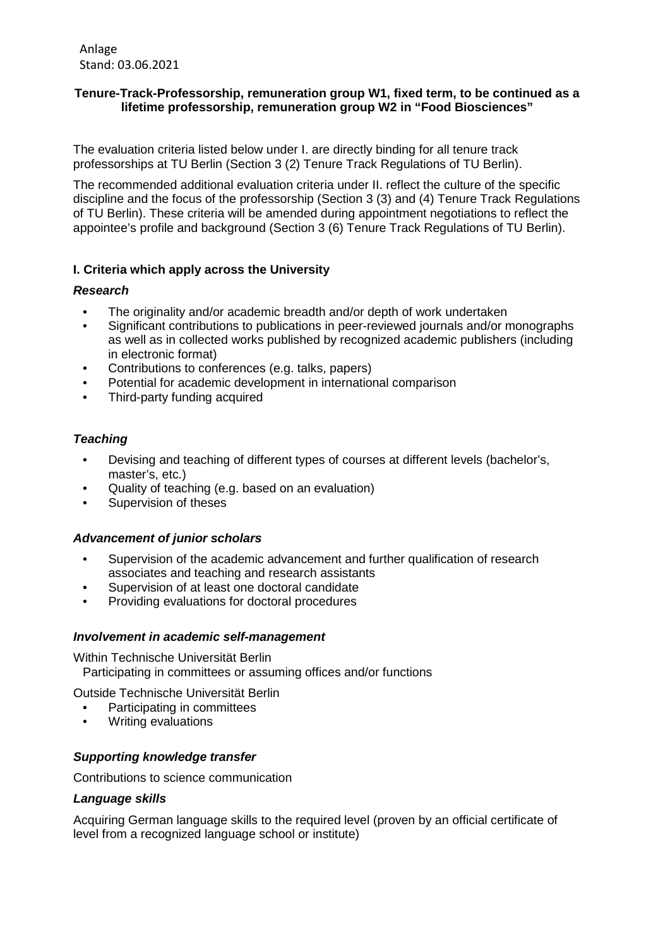Anlage Stand: 03.06.2021

## **Tenure-Track-Professorship, remuneration group W1, fixed term, to be continued as a lifetime professorship, remuneration group W2 in "Food Biosciences"**

The evaluation criteria listed below under I. are directly binding for all tenure track professorships at TU Berlin (Section 3 (2) Tenure Track Regulations of TU Berlin).

The recommended additional evaluation criteria under II. reflect the culture of the specific discipline and the focus of the professorship (Section 3 (3) and (4) Tenure Track Regulations of TU Berlin). These criteria will be amended during appointment negotiations to reflect the appointee's profile and background (Section 3 (6) Tenure Track Regulations of TU Berlin).

## **I. Criteria which apply across the University**

## *Research*

- The originality and/or academic breadth and/or depth of work undertaken
- Significant contributions to publications in peer-reviewed journals and/or monographs as well as in collected works published by recognized academic publishers (including in electronic format)
- Contributions to conferences (e.g. talks, papers)
- Potential for academic development in international comparison
- Third-party funding acquired

## *Teaching*

- Devising and teaching of different types of courses at different levels (bachelor's, master's, etc.)
- Quality of teaching (e.g. based on an evaluation)
- Supervision of theses

## *Advancement of junior scholars*

- Supervision of the academic advancement and further qualification of research associates and teaching and research assistants
- Supervision of at least one doctoral candidate<br>• Providing evaluations for doctoral procedures
- Providing evaluations for doctoral procedures

## *Involvement in academic self-management*

Within Technische Universität Berlin Participating in committees or assuming offices and/or functions

Outside Technische Universität Berlin

- Participating in committees
- Writing evaluations

# *Supporting knowledge transfer*

Contributions to science communication

## *Language skills*

Acquiring German language skills to the required level (proven by an official certificate of level from a recognized language school or institute)